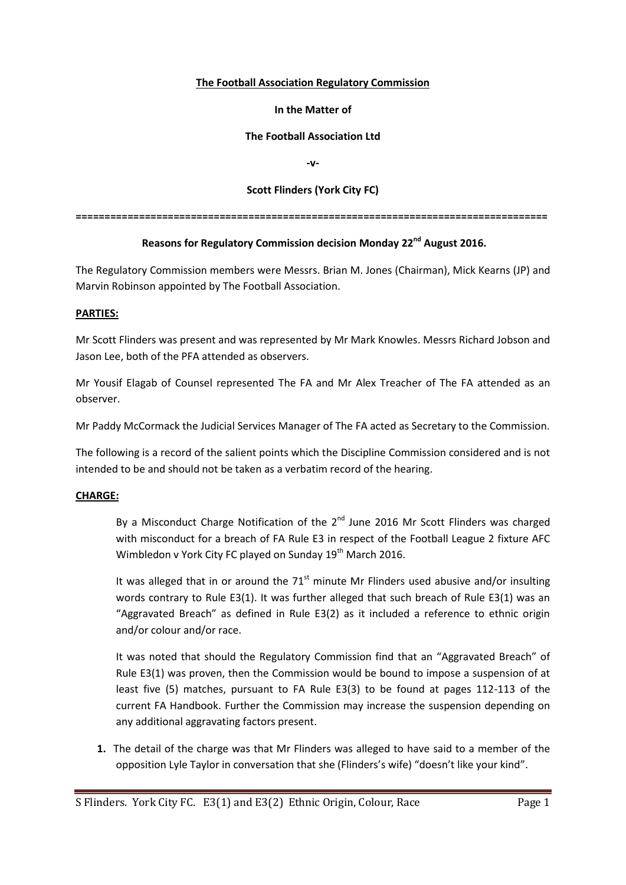### **The Football Association Regulatory Commission**

### **In the Matter of**

# **The Football Association Ltd**

**-v-**

# **Scott Flinders (York City FC)**

**==================================================================================**

# **Reasons for Regulatory Commission decision Monday 22nd August 2016.**

The Regulatory Commission members were Messrs. Brian M. Jones (Chairman), Mick Kearns (JP) and Marvin Robinson appointed by The Football Association.

### **PARTIES:**

Mr Scott Flinders was present and was represented by Mr Mark Knowles. Messrs Richard Jobson and Jason Lee, both of the PFA attended as observers.

Mr Yousif Elagab of Counsel represented The FA and Mr Alex Treacher of The FA attended as an observer.

Mr Paddy McCormack the Judicial Services Manager of The FA acted as Secretary to the Commission.

The following is a record of the salient points which the Discipline Commission considered and is not intended to be and should not be taken as a verbatim record of the hearing.

# **CHARGE:**

By a Misconduct Charge Notification of the  $2^{nd}$  June 2016 Mr Scott Flinders was charged with misconduct for a breach of FA Rule E3 in respect of the Football League 2 fixture AFC Wimbledon v York City FC played on Sunday 19<sup>th</sup> March 2016.

It was alleged that in or around the  $71<sup>st</sup>$  minute Mr Flinders used abusive and/or insulting words contrary to Rule E3(1). It was further alleged that such breach of Rule E3(1) was an "Aggravated Breach" as defined in Rule E3(2) as it included a reference to ethnic origin and/or colour and/or race.

It was noted that should the Regulatory Commission find that an "Aggravated Breach" of Rule E3(1) was proven, then the Commission would be bound to impose a suspension of at least five (5) matches, pursuant to FA Rule E3(3) to be found at pages 112-113 of the current FA Handbook. Further the Commission may increase the suspension depending on any additional aggravating factors present.

**1.** The detail of the charge was that Mr Flinders was alleged to have said to a member of the opposition Lyle Taylor in conversation that she (Flinders's wife) "doesn't like your kind".

S Flinders. York City FC. E3(1) and E3(2) Ethnic Origin, Colour, Race Page 1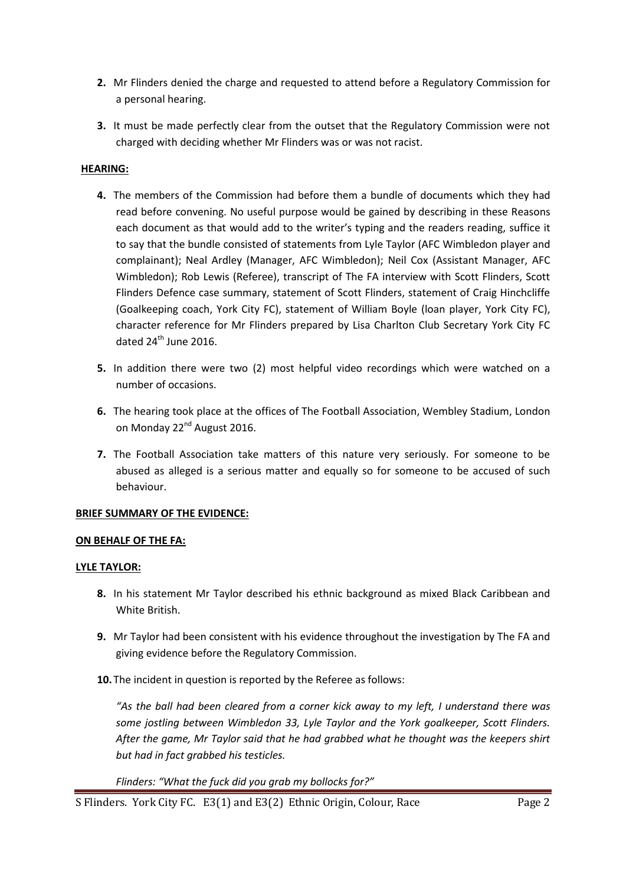- **2.** Mr Flinders denied the charge and requested to attend before a Regulatory Commission for a personal hearing.
- **3.** It must be made perfectly clear from the outset that the Regulatory Commission were not charged with deciding whether Mr Flinders was or was not racist.

# **HEARING:**

- **4.** The members of the Commission had before them a bundle of documents which they had read before convening. No useful purpose would be gained by describing in these Reasons each document as that would add to the writer's typing and the readers reading, suffice it to say that the bundle consisted of statements from Lyle Taylor (AFC Wimbledon player and complainant); Neal Ardley (Manager, AFC Wimbledon); Neil Cox (Assistant Manager, AFC Wimbledon); Rob Lewis (Referee), transcript of The FA interview with Scott Flinders, Scott Flinders Defence case summary, statement of Scott Flinders, statement of Craig Hinchcliffe (Goalkeeping coach, York City FC), statement of William Boyle (loan player, York City FC), character reference for Mr Flinders prepared by Lisa Charlton Club Secretary York City FC dated  $24<sup>th</sup>$  June 2016.
- **5.** In addition there were two (2) most helpful video recordings which were watched on a number of occasions.
- **6.** The hearing took place at the offices of The Football Association, Wembley Stadium, London on Monday 22<sup>nd</sup> August 2016.
- **7.** The Football Association take matters of this nature very seriously. For someone to be abused as alleged is a serious matter and equally so for someone to be accused of such behaviour.

# **BRIEF SUMMARY OF THE EVIDENCE:**

### **ON BEHALF OF THE FA:**

### **LYLE TAYLOR:**

- **8.** In his statement Mr Taylor described his ethnic background as mixed Black Caribbean and White British.
- **9.** Mr Taylor had been consistent with his evidence throughout the investigation by The FA and giving evidence before the Regulatory Commission.
- **10.** The incident in question is reported by the Referee as follows:

*"As the ball had been cleared from a corner kick away to my left, I understand there was some jostling between Wimbledon 33, Lyle Taylor and the York goalkeeper, Scott Flinders. After the game, Mr Taylor said that he had grabbed what he thought was the keepers shirt but had in fact grabbed his testicles.*

*Flinders: "What the fuck did you grab my bollocks for?"*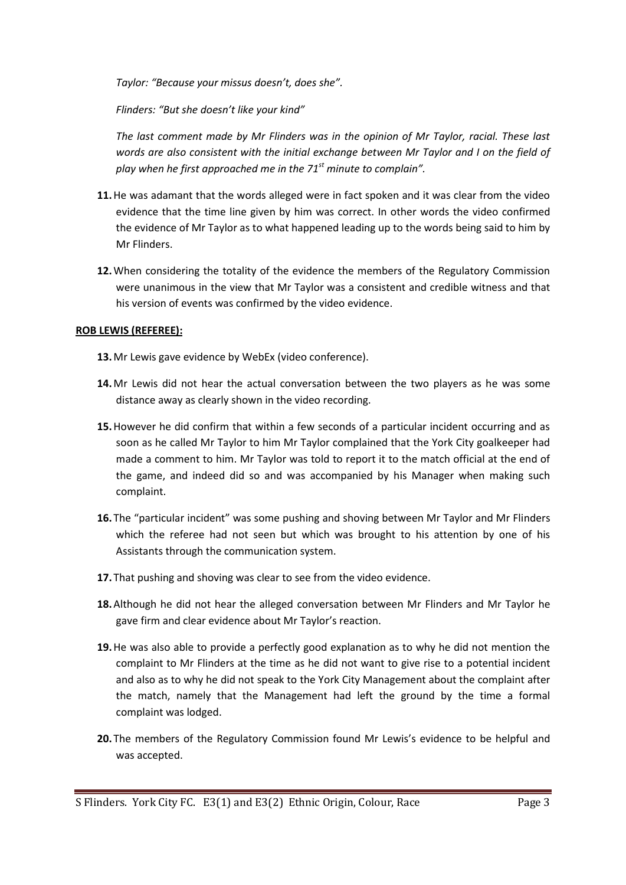*Taylor: "Because your missus doesn't, does she".*

*Flinders: "But she doesn't like your kind"*

*The last comment made by Mr Flinders was in the opinion of Mr Taylor, racial. These last words are also consistent with the initial exchange between Mr Taylor and I on the field of play when he first approached me in the 71st minute to complain".*

- **11.**He was adamant that the words alleged were in fact spoken and it was clear from the video evidence that the time line given by him was correct. In other words the video confirmed the evidence of Mr Taylor as to what happened leading up to the words being said to him by Mr Flinders.
- **12.**When considering the totality of the evidence the members of the Regulatory Commission were unanimous in the view that Mr Taylor was a consistent and credible witness and that his version of events was confirmed by the video evidence.

# **ROB LEWIS (REFEREE):**

- **13.**Mr Lewis gave evidence by WebEx (video conference).
- **14.**Mr Lewis did not hear the actual conversation between the two players as he was some distance away as clearly shown in the video recording.
- **15.**However he did confirm that within a few seconds of a particular incident occurring and as soon as he called Mr Taylor to him Mr Taylor complained that the York City goalkeeper had made a comment to him. Mr Taylor was told to report it to the match official at the end of the game, and indeed did so and was accompanied by his Manager when making such complaint.
- **16.** The "particular incident" was some pushing and shoving between Mr Taylor and Mr Flinders which the referee had not seen but which was brought to his attention by one of his Assistants through the communication system.
- **17.** That pushing and shoving was clear to see from the video evidence.
- **18.**Although he did not hear the alleged conversation between Mr Flinders and Mr Taylor he gave firm and clear evidence about Mr Taylor's reaction.
- **19.**He was also able to provide a perfectly good explanation as to why he did not mention the complaint to Mr Flinders at the time as he did not want to give rise to a potential incident and also as to why he did not speak to the York City Management about the complaint after the match, namely that the Management had left the ground by the time a formal complaint was lodged.
- **20.** The members of the Regulatory Commission found Mr Lewis's evidence to be helpful and was accepted.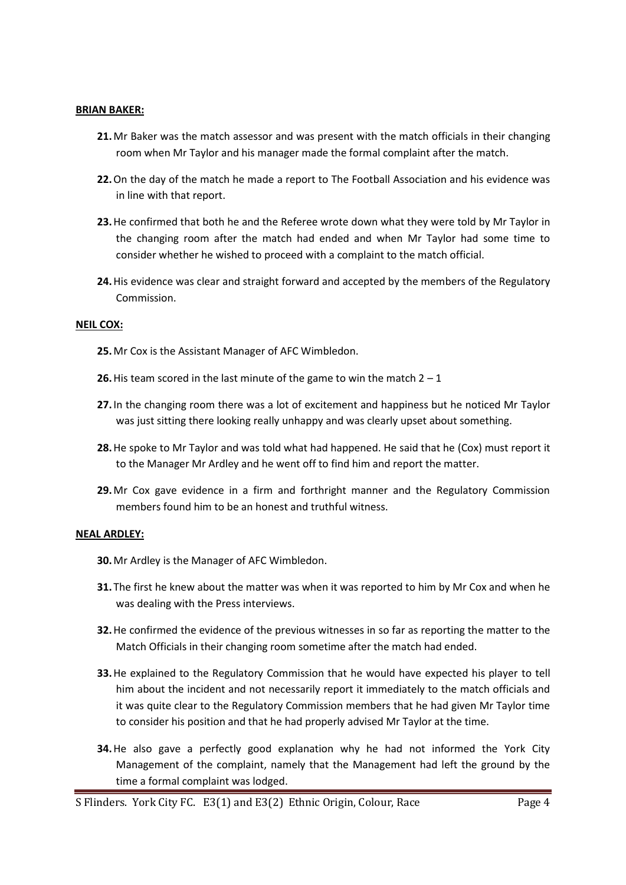#### **BRIAN BAKER:**

- **21.**Mr Baker was the match assessor and was present with the match officials in their changing room when Mr Taylor and his manager made the formal complaint after the match.
- **22.**On the day of the match he made a report to The Football Association and his evidence was in line with that report.
- **23.**He confirmed that both he and the Referee wrote down what they were told by Mr Taylor in the changing room after the match had ended and when Mr Taylor had some time to consider whether he wished to proceed with a complaint to the match official.
- **24.**His evidence was clear and straight forward and accepted by the members of the Regulatory Commission.

#### **NEIL COX:**

- **25.**Mr Cox is the Assistant Manager of AFC Wimbledon.
- **26.** His team scored in the last minute of the game to win the match  $2 1$
- **27.** In the changing room there was a lot of excitement and happiness but he noticed Mr Taylor was just sitting there looking really unhappy and was clearly upset about something.
- **28.**He spoke to Mr Taylor and was told what had happened. He said that he (Cox) must report it to the Manager Mr Ardley and he went off to find him and report the matter.
- **29.**Mr Cox gave evidence in a firm and forthright manner and the Regulatory Commission members found him to be an honest and truthful witness.

#### **NEAL ARDLEY:**

- **30.**Mr Ardley is the Manager of AFC Wimbledon.
- **31.** The first he knew about the matter was when it was reported to him by Mr Cox and when he was dealing with the Press interviews.
- **32.**He confirmed the evidence of the previous witnesses in so far as reporting the matter to the Match Officials in their changing room sometime after the match had ended.
- **33.**He explained to the Regulatory Commission that he would have expected his player to tell him about the incident and not necessarily report it immediately to the match officials and it was quite clear to the Regulatory Commission members that he had given Mr Taylor time to consider his position and that he had properly advised Mr Taylor at the time.
- **34.**He also gave a perfectly good explanation why he had not informed the York City Management of the complaint, namely that the Management had left the ground by the time a formal complaint was lodged.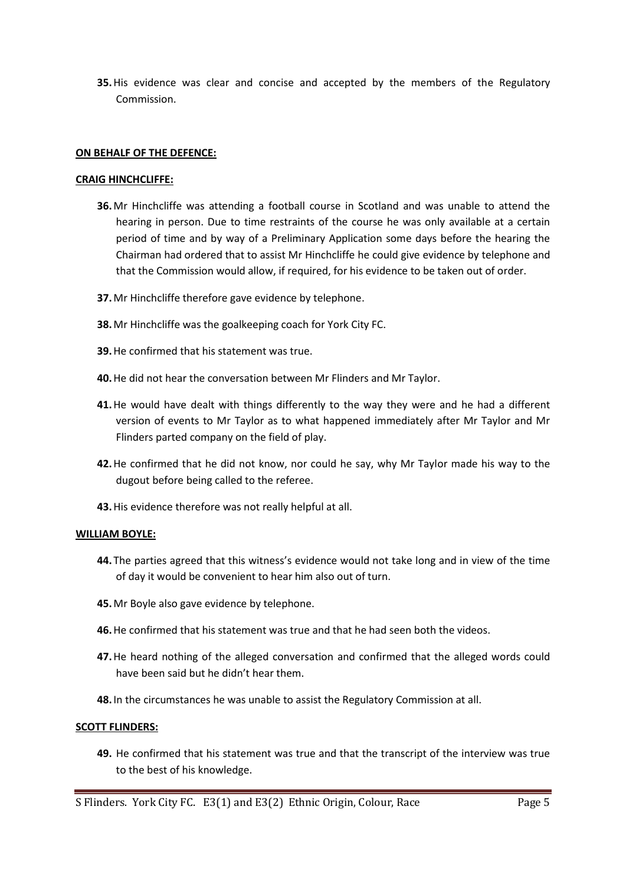**35.**His evidence was clear and concise and accepted by the members of the Regulatory Commission.

### **ON BEHALF OF THE DEFENCE:**

### **CRAIG HINCHCLIFFE:**

- **36.**Mr Hinchcliffe was attending a football course in Scotland and was unable to attend the hearing in person. Due to time restraints of the course he was only available at a certain period of time and by way of a Preliminary Application some days before the hearing the Chairman had ordered that to assist Mr Hinchcliffe he could give evidence by telephone and that the Commission would allow, if required, for his evidence to be taken out of order.
- **37.**Mr Hinchcliffe therefore gave evidence by telephone.
- **38.**Mr Hinchcliffe was the goalkeeping coach for York City FC.
- **39.**He confirmed that his statement was true.
- **40.**He did not hear the conversation between Mr Flinders and Mr Taylor.
- **41.**He would have dealt with things differently to the way they were and he had a different version of events to Mr Taylor as to what happened immediately after Mr Taylor and Mr Flinders parted company on the field of play.
- **42.**He confirmed that he did not know, nor could he say, why Mr Taylor made his way to the dugout before being called to the referee.
- **43.**His evidence therefore was not really helpful at all.

### **WILLIAM BOYLE:**

- **44.** The parties agreed that this witness's evidence would not take long and in view of the time of day it would be convenient to hear him also out of turn.
- **45.**Mr Boyle also gave evidence by telephone.
- **46.**He confirmed that his statement was true and that he had seen both the videos.
- **47.**He heard nothing of the alleged conversation and confirmed that the alleged words could have been said but he didn't hear them.
- **48.** In the circumstances he was unable to assist the Regulatory Commission at all.

### **SCOTT FLINDERS:**

**49.** He confirmed that his statement was true and that the transcript of the interview was true to the best of his knowledge.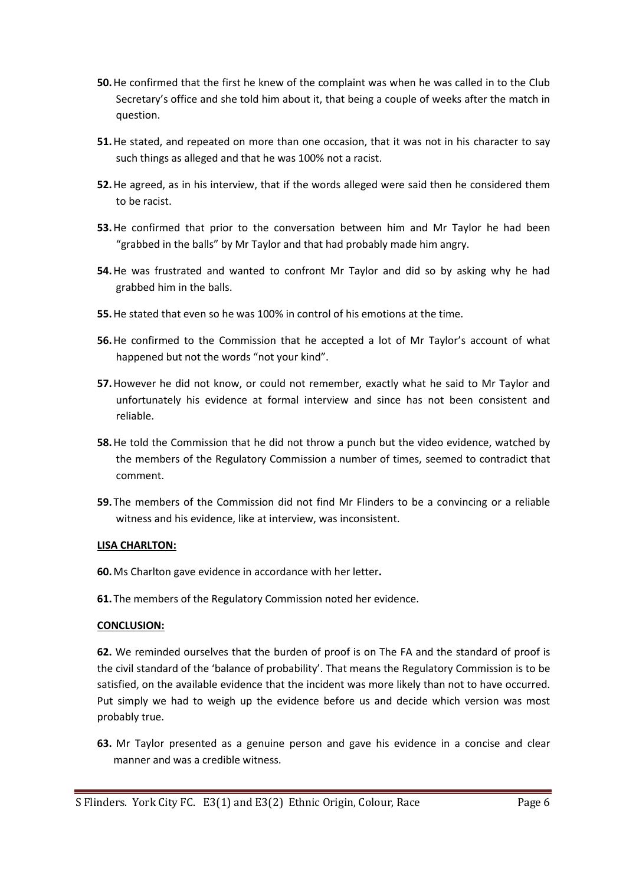- **50.**He confirmed that the first he knew of the complaint was when he was called in to the Club Secretary's office and she told him about it, that being a couple of weeks after the match in question.
- **51.**He stated, and repeated on more than one occasion, that it was not in his character to say such things as alleged and that he was 100% not a racist.
- **52.**He agreed, as in his interview, that if the words alleged were said then he considered them to be racist.
- **53.**He confirmed that prior to the conversation between him and Mr Taylor he had been "grabbed in the balls" by Mr Taylor and that had probably made him angry.
- **54.**He was frustrated and wanted to confront Mr Taylor and did so by asking why he had grabbed him in the balls.
- **55.**He stated that even so he was 100% in control of his emotions at the time.
- **56.**He confirmed to the Commission that he accepted a lot of Mr Taylor's account of what happened but not the words "not your kind".
- **57.**However he did not know, or could not remember, exactly what he said to Mr Taylor and unfortunately his evidence at formal interview and since has not been consistent and reliable.
- **58.**He told the Commission that he did not throw a punch but the video evidence, watched by the members of the Regulatory Commission a number of times, seemed to contradict that comment.
- **59.** The members of the Commission did not find Mr Flinders to be a convincing or a reliable witness and his evidence, like at interview, was inconsistent.

# **LISA CHARLTON:**

**60.**Ms Charlton gave evidence in accordance with her letter**.**

**61.** The members of the Regulatory Commission noted her evidence.

# **CONCLUSION:**

**62.** We reminded ourselves that the burden of proof is on The FA and the standard of proof is the civil standard of the 'balance of probability'. That means the Regulatory Commission is to be satisfied, on the available evidence that the incident was more likely than not to have occurred. Put simply we had to weigh up the evidence before us and decide which version was most probably true.

**63.** Mr Taylor presented as a genuine person and gave his evidence in a concise and clear manner and was a credible witness.